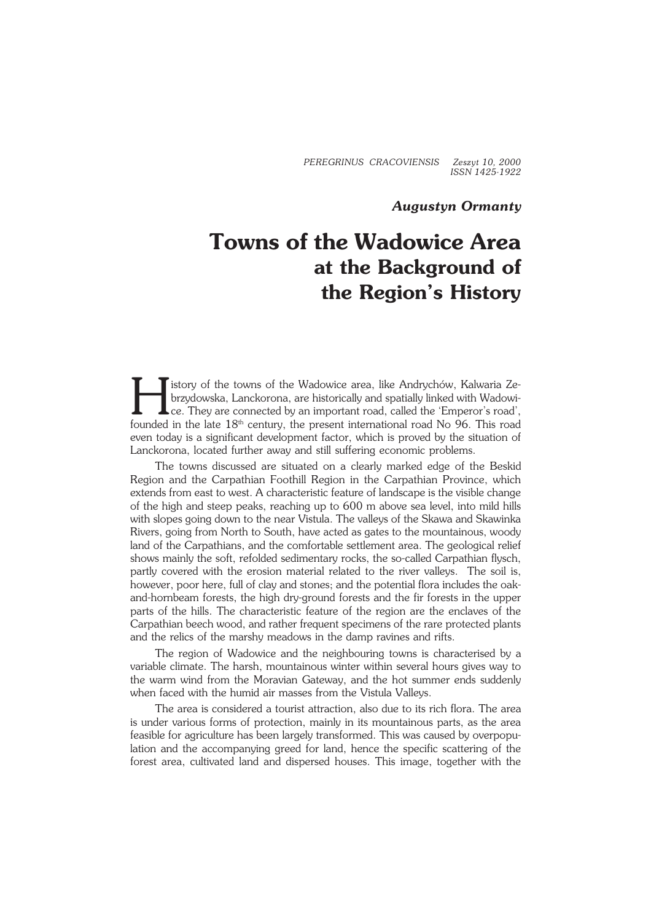*PEREGRINUS CRACOVIENSIS Zeszyt 10, 2000 ISSN 1425−1922*

## *Augustyn Ormanty*

## **Towns of the Wadowice Area at the Background of the Region's History**

H istory of the towns of the Wadowice area, like Andrychów, Kalwaria Ze− brzydowska, Lanckorona, are historically and spatially linked with Wadowi− ce. They are connected by an important road, called the 'Emperor's road', founded in the late 18<sup>th</sup> century, the present international road No 96. This road even today is a significant development factor, which is proved by the situation of Lanckorona, located further away and still suffering economic problems.

The towns discussed are situated on a clearly marked edge of the Beskid Region and the Carpathian Foothill Region in the Carpathian Province, which extends from east to west. A characteristic feature of landscape is the visible change of the high and steep peaks, reaching up to 600 m above sea level, into mild hills with slopes going down to the near Vistula. The valleys of the Skawa and Skawinka Rivers, going from North to South, have acted as gates to the mountainous, woody land of the Carpathians, and the comfortable settlement area. The geological relief shows mainly the soft, refolded sedimentary rocks, the so−called Carpathian flysch, partly covered with the erosion material related to the river valleys. The soil is, however, poor here, full of clay and stones; and the potential flora includes the oak− and−hornbeam forests, the high dry−ground forests and the fir forests in the upper parts of the hills. The characteristic feature of the region are the enclaves of the Carpathian beech wood, and rather frequent specimens of the rare protected plants and the relics of the marshy meadows in the damp ravines and rifts.

The region of Wadowice and the neighbouring towns is characterised by a variable climate. The harsh, mountainous winter within several hours gives way to the warm wind from the Moravian Gateway, and the hot summer ends suddenly when faced with the humid air masses from the Vistula Valleys.

The area is considered a tourist attraction, also due to its rich flora. The area is under various forms of protection, mainly in its mountainous parts, as the area feasible for agriculture has been largely transformed. This was caused by overpopulation and the accompanying greed for land, hence the specific scattering of the forest area, cultivated land and dispersed houses. This image, together with the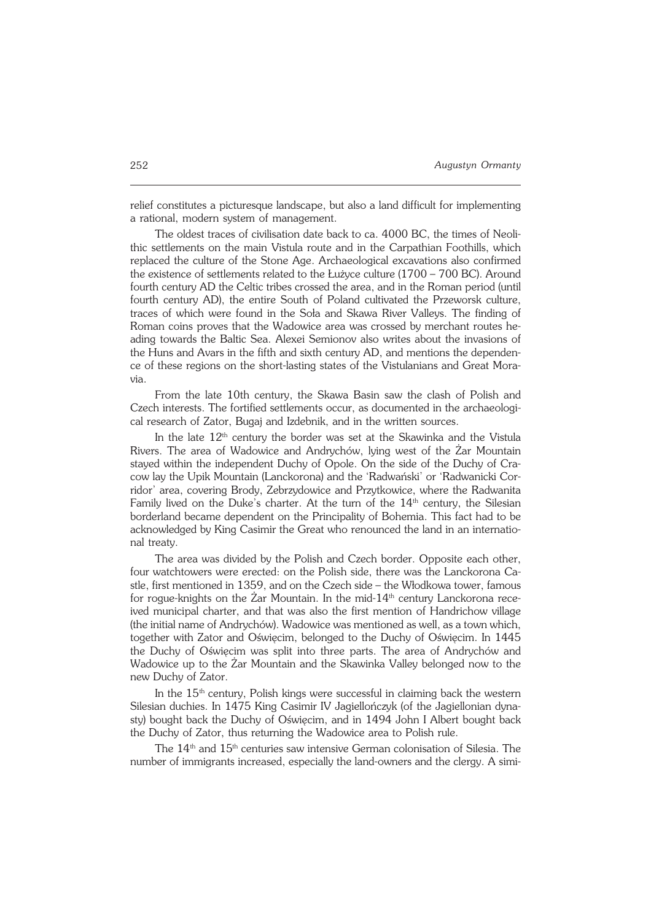relief constitutes a picturesque landscape, but also a land difficult for implementing a rational, modern system of management.

The oldest traces of civilisation date back to ca. 4000 BC, the times of Neoli− thic settlements on the main Vistula route and in the Carpathian Foothills, which replaced the culture of the Stone Age. Archaeological excavations also confirmed the existence of settlements related to the Łużyce culture (1700 – 700 BC). Around fourth century AD the Celtic tribes crossed the area, and in the Roman period (until fourth century AD), the entire South of Poland cultivated the Przeworsk culture, traces of which were found in the Soła and Skawa River Valleys. The finding of Roman coins proves that the Wadowice area was crossed by merchant routes he− ading towards the Baltic Sea. Alexei Semionov also writes about the invasions of the Huns and Avars in the fifth and sixth century AD, and mentions the dependen− ce of these regions on the short−lasting states of the Vistulanians and Great Mora− via.

From the late 10th century, the Skawa Basin saw the clash of Polish and Czech interests. The fortified settlements occur, as documented in the archaeologi− cal research of Zator, Bugaj and Izdebnik, and in the written sources.

In the late  $12<sup>th</sup>$  century the border was set at the Skawinka and the Vistula Rivers. The area of Wadowice and Andrychów, lying west of the Żar Mountain stayed within the independent Duchy of Opole. On the side of the Duchy of Cra− cow lay the Upik Mountain (Lanckorona) and the 'Radwański' or 'Radwanicki Cor− ridor' area, covering Brody, Zebrzydowice and Przytkowice, where the Radwanita Family lived on the Duke's charter. At the turn of the  $14<sup>th</sup>$  century, the Silesian borderland became dependent on the Principality of Bohemia. This fact had to be acknowledged by King Casimir the Great who renounced the land in an internatio− nal treaty.

The area was divided by the Polish and Czech border. Opposite each other, four watchtowers were erected: on the Polish side, there was the Lanckorona Ca− stle, first mentioned in 1359, and on the Czech side – the Włodkowa tower, famous for roque-knights on the Żar Mountain. In the mid−14<sup>th</sup> century Lanckorona rece− ived municipal charter, and that was also the first mention of Handrichow village (the initial name of Andrychów). Wadowice was mentioned as well, as a town which, together with Zator and Oświęcim, belonged to the Duchy of Oświęcim. In 1445 the Duchy of Oświęcim was split into three parts. The area of Andrychów and Wadowice up to the Żar Mountain and the Skawinka Valley belonged now to the new Duchy of Zator.

In the  $15<sup>th</sup>$  century, Polish kings were successful in claiming back the western Silesian duchies. In 1475 King Casimir IV Jagiellończyk (of the Jagiellonian dyna− sty) bought back the Duchy of Oświęcim, and in 1494 John I Albert bought back the Duchy of Zator, thus returning the Wadowice area to Polish rule.

The  $14<sup>th</sup>$  and  $15<sup>th</sup>$  centuries saw intensive German colonisation of Silesia. The number of immigrants increased, especially the land−owners and the clergy. A simi−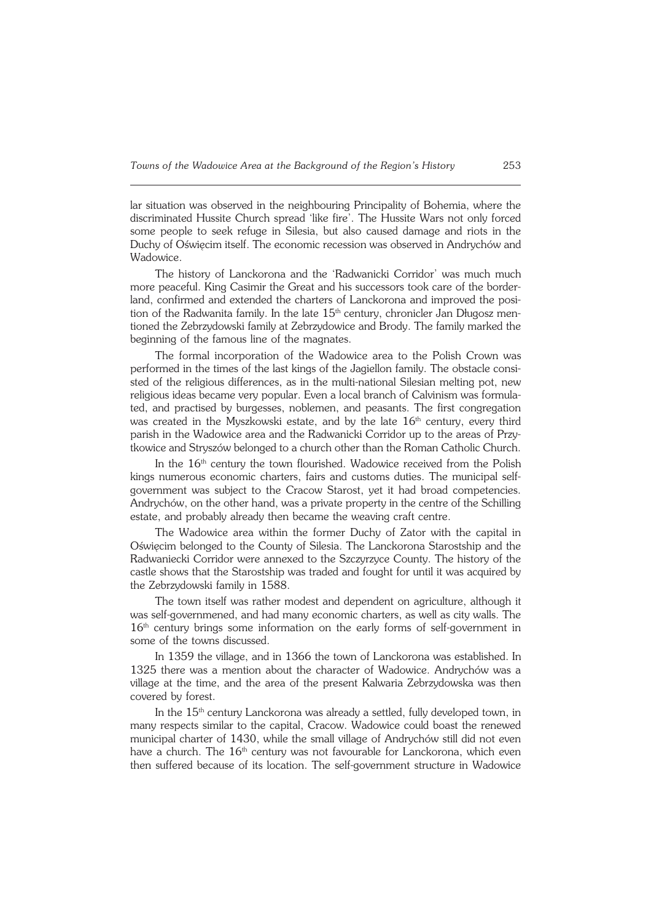lar situation was observed in the neighbouring Principality of Bohemia, where the discriminated Hussite Church spread 'like fire'. The Hussite Wars not only forced some people to seek refuge in Silesia, but also caused damage and riots in the Duchy of Oświęcim itself. The economic recession was observed in Andrychów and Wadowice.

The history of Lanckorona and the 'Radwanicki Corridor' was much much more peaceful. King Casimir the Great and his successors took care of the border− land, confirmed and extended the charters of Lanckorona and improved the posi− tion of the Radwanita family. In the late 15<sup>th</sup> century, chronicler Jan Długosz mentioned the Zebrzydowski family at Zebrzydowice and Brody. The family marked the beginning of the famous line of the magnates.

The formal incorporation of the Wadowice area to the Polish Crown was performed in the times of the last kings of the Jagiellon family. The obstacle consi− sted of the religious differences, as in the multi−national Silesian melting pot, new religious ideas became very popular. Even a local branch of Calvinism was formula− ted, and practised by burgesses, noblemen, and peasants. The first congregation was created in the Myszkowski estate, and by the late  $16<sup>th</sup>$  century, every third parish in the Wadowice area and the Radwanicki Corridor up to the areas of Przy− tkowice and Stryszów belonged to a church other than the Roman Catholic Church.

In the 16<sup>th</sup> century the town flourished. Wadowice received from the Polish kings numerous economic charters, fairs and customs duties. The municipal selfgovernment was subject to the Cracow Starost, yet it had broad competencies. Andrychów, on the other hand, was a private property in the centre of the Schilling estate, and probably already then became the weaving craft centre.

The Wadowice area within the former Duchy of Zator with the capital in Oświęcim belonged to the County of Silesia. The Lanckorona Starostship and the Radwaniecki Corridor were annexed to the Szczyrzyce County. The history of the castle shows that the Starostship was traded and fought for until it was acquired by the Zebrzydowski family in 1588.

The town itself was rather modest and dependent on agriculture, although it was self−governmened, and had many economic charters, as well as city walls. The 16<sup>th</sup> century brings some information on the early forms of self-government in some of the towns discussed.

In 1359 the village, and in 1366 the town of Lanckorona was established. In 1325 there was a mention about the character of Wadowice. Andrychów was a village at the time, and the area of the present Kalwaria Zebrzydowska was then covered by forest.

In the 15<sup>th</sup> century Lanckorona was already a settled, fully developed town, in many respects similar to the capital, Cracow. Wadowice could boast the renewed municipal charter of 1430, while the small village of Andrychów still did not even have a church. The  $16<sup>th</sup>$  century was not favourable for Lanckorona, which even then suffered because of its location. The self−government structure in Wadowice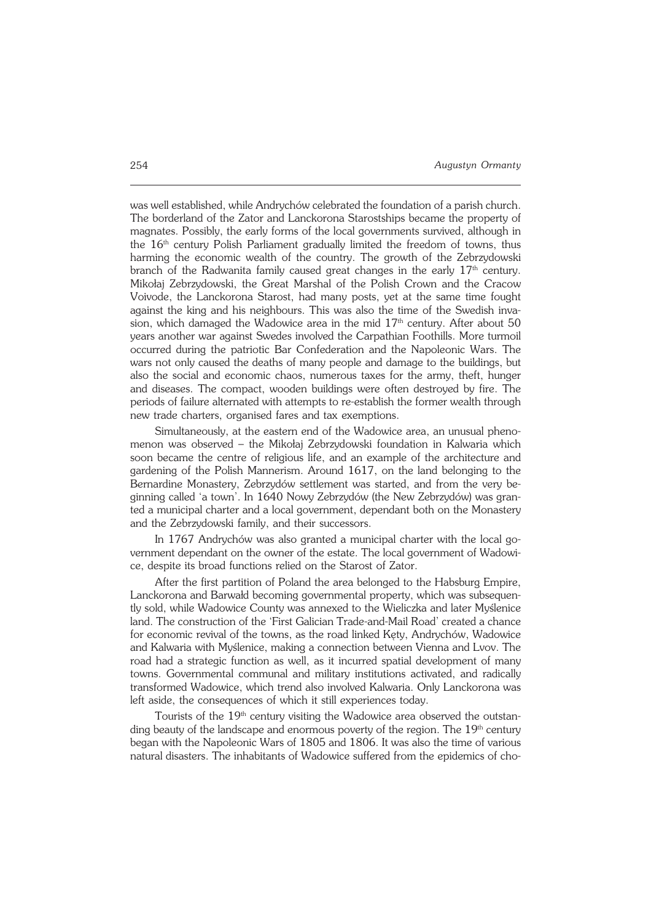was well established, while Andrychów celebrated the foundation of a parish church. The borderland of the Zator and Lanckorona Starostships became the property of magnates. Possibly, the early forms of the local governments survived, although in the  $16<sup>th</sup>$  century Polish Parliament gradually limited the freedom of towns, thus harming the economic wealth of the country. The growth of the Zebrzydowski branch of the Radwanita family caused great changes in the early  $17<sup>th</sup>$  century. Mikołaj Zebrzydowski, the Great Marshal of the Polish Crown and the Cracow Voivode, the Lanckorona Starost, had many posts, yet at the same time fought against the king and his neighbours. This was also the time of the Swedish inva− sion, which damaged the Wadowice area in the mid  $17<sup>th</sup>$  century. After about 50 years another war against Swedes involved the Carpathian Foothills. More turmoil occurred during the patriotic Bar Confederation and the Napoleonic Wars. The wars not only caused the deaths of many people and damage to the buildings, but also the social and economic chaos, numerous taxes for the army, theft, hunger and diseases. The compact, wooden buildings were often destroyed by fire. The periods of failure alternated with attempts to re−establish the former wealth through new trade charters, organised fares and tax exemptions.

Simultaneously, at the eastern end of the Wadowice area, an unusual pheno− menon was observed – the Mikołaj Zebrzydowski foundation in Kalwaria which soon became the centre of religious life, and an example of the architecture and gardening of the Polish Mannerism. Around 1617, on the land belonging to the Bernardine Monastery, Zebrzydów settlement was started, and from the very be− ginning called 'a town'. In 1640 Nowy Zebrzydów (the New Zebrzydów) was gran− ted a municipal charter and a local government, dependant both on the Monastery and the Zebrzydowski family, and their successors.

In 1767 Andrychów was also granted a municipal charter with the local go− vernment dependant on the owner of the estate. The local government of Wadowi− ce, despite its broad functions relied on the Starost of Zator.

After the first partition of Poland the area belonged to the Habsburg Empire, Lanckorona and Barwałd becoming governmental property, which was subsequen− tly sold, while Wadowice County was annexed to the Wieliczka and later Myślenice land. The construction of the 'First Galician Trade−and−Mail Road' created a chance for economic revival of the towns, as the road linked Kęty, Andrychów, Wadowice and Kalwaria with Myślenice, making a connection between Vienna and Lvov. The road had a strategic function as well, as it incurred spatial development of many towns. Governmental communal and military institutions activated, and radically transformed Wadowice, which trend also involved Kalwaria. Only Lanckorona was left aside, the consequences of which it still experiences today.

Tourists of the 19<sup>th</sup> century visiting the Wadowice area observed the outstanding beauty of the landscape and enormous poverty of the region. The  $19<sup>th</sup>$  century began with the Napoleonic Wars of 1805 and 1806. It was also the time of various natural disasters. The inhabitants of Wadowice suffered from the epidemics of cho−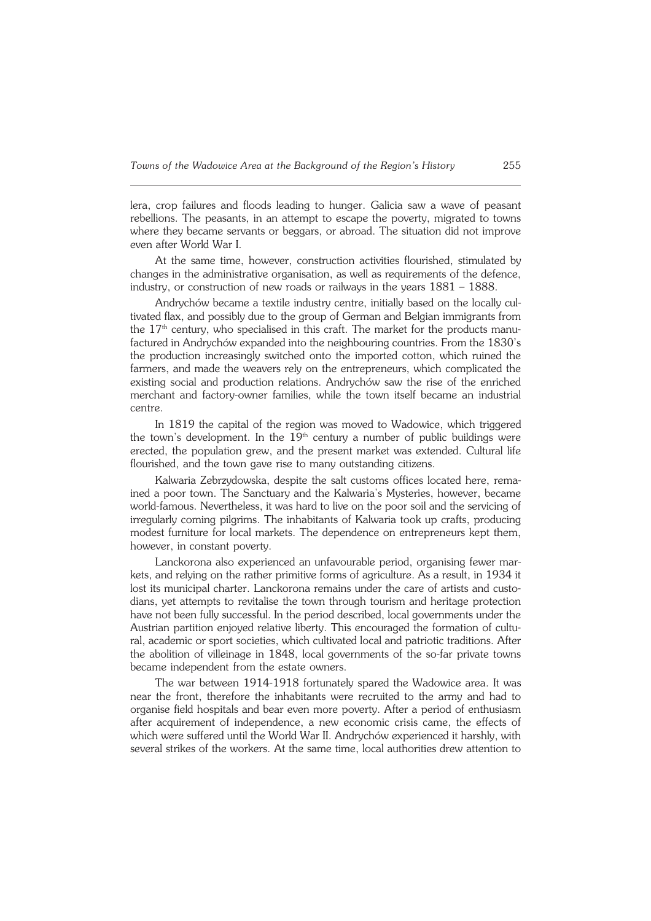lera, crop failures and floods leading to hunger. Galicia saw a wave of peasant rebellions. The peasants, in an attempt to escape the poverty, migrated to towns where they became servants or beggars, or abroad. The situation did not improve even after World War I.

At the same time, however, construction activities flourished, stimulated by changes in the administrative organisation, as well as requirements of the defence, industry, or construction of new roads or railways in the years 1881 – 1888.

Andrychów became a textile industry centre, initially based on the locally cul− tivated flax, and possibly due to the group of German and Belgian immigrants from the 17<sup>th</sup> century, who specialised in this craft. The market for the products manufactured in Andrychów expanded into the neighbouring countries. From the 1830's the production increasingly switched onto the imported cotton, which ruined the farmers, and made the weavers rely on the entrepreneurs, which complicated the existing social and production relations. Andrychów saw the rise of the enriched merchant and factory−owner families, while the town itself became an industrial centre.

In 1819 the capital of the region was moved to Wadowice, which triggered the town's development. In the  $19<sup>th</sup>$  century a number of public buildings were erected, the population grew, and the present market was extended. Cultural life flourished, and the town gave rise to many outstanding citizens.

Kalwaria Zebrzydowska, despite the salt customs offices located here, rema− ined a poor town. The Sanctuary and the Kalwaria's Mysteries, however, became world−famous. Nevertheless, it was hard to live on the poor soil and the servicing of irregularly coming pilgrims. The inhabitants of Kalwaria took up crafts, producing modest furniture for local markets. The dependence on entrepreneurs kept them, however, in constant poverty.

Lanckorona also experienced an unfavourable period, organising fewer mar− kets, and relying on the rather primitive forms of agriculture. As a result, in 1934 it lost its municipal charter. Lanckorona remains under the care of artists and custo− dians, yet attempts to revitalise the town through tourism and heritage protection have not been fully successful. In the period described, local governments under the Austrian partition enjoyed relative liberty. This encouraged the formation of cultu− ral, academic or sport societies, which cultivated local and patriotic traditions. After the abolition of villeinage in 1848, local governments of the so−far private towns became independent from the estate owners.

The war between 1914−1918 fortunately spared the Wadowice area. It was near the front, therefore the inhabitants were recruited to the army and had to organise field hospitals and bear even more poverty. After a period of enthusiasm after acquirement of independence, a new economic crisis came, the effects of which were suffered until the World War II. Andrychów experienced it harshly, with several strikes of the workers. At the same time, local authorities drew attention to